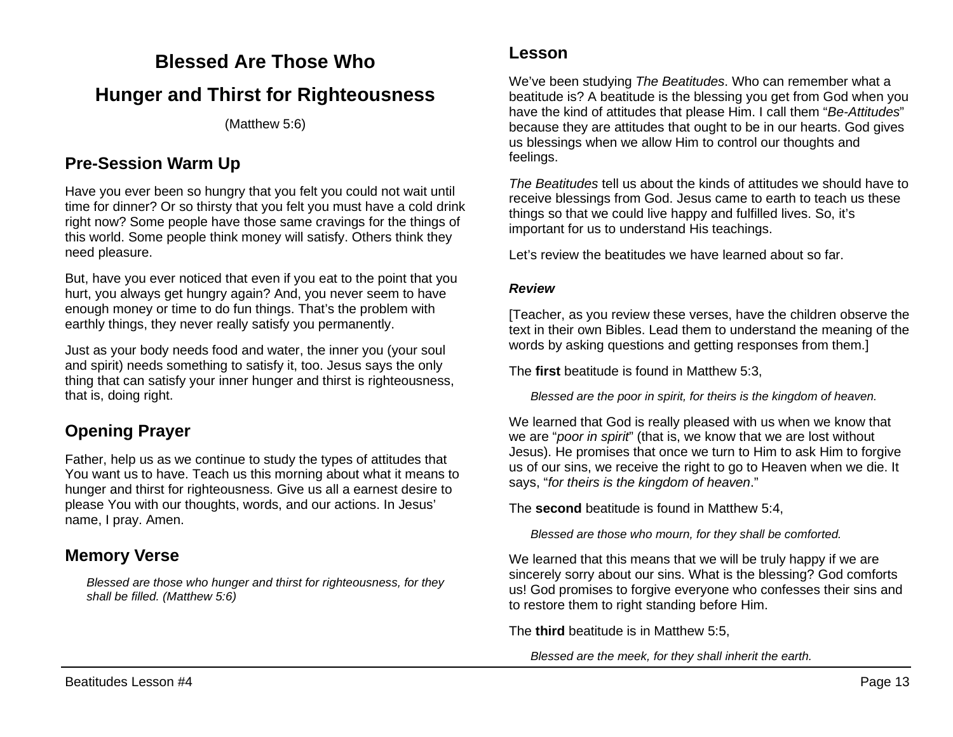### **Blessed Are Those Who**

## **Hunger and Thirst for Righteousness**

(Matthew 5:6)

#### **Pre-Session Warm Up**

Have you ever been so hungry that you felt you could not wait until time for dinner? Or so thirsty that you felt you must have a cold drink right now? Some people have those same cravings for the things of this world. Some people think money will satisfy. Others think they need pleasure.

But, have you ever noticed that even if you eat to the point that you hurt, you always get hungry again? And, you never seem to have enough money or time to do fun things. That's the problem with earthly things, they never really satisfy you permanently.

Just as your body needs food and water, the inner you (your soul and spirit) needs something to satisfy it, too. Jesus says the only thing that can satisfy your inner hunger and thirst is righteousness, that is, doing right.

## **Opening Prayer**

Father, help us as we continue to study the types of attitudes that You want us to have. Teach us this morning about what it means to hunger and thirst for righteousness. Give us all a earnest desire to please You with our thoughts, words, and our actions. In Jesus' name, I pray. Amen.

### **Memory Verse**

*Blessed are those who hunger and thirst for righteousness, for they shall be filled. (Matthew 5:6)*

We've been studying *The Beatitudes*. Who can remember what a beatitude is? A beatitude is the blessing you get from God when you have the kind of attitudes that please Him. I call them "*Be-Attitudes*" because they are attitudes that ought to be in our hearts. God gives us blessings when we allow Him to control our thoughts and feelings.

*The Beatitudes* tell us about the kinds of attitudes we should have to receive blessings from God. Jesus came to earth to teach us these things so that we could live happy and fulfilled lives. So, it's important for us to understand His teachings.

Let's review the beatitudes we have learned about so far.

#### *Review*

[Teacher, as you review these verses, have the children observe the text in their own Bibles. Lead them to understand the meaning of the words by asking questions and getting responses from them.]

The **first** beatitude is found in Matthew 5:3,

*Blessed are the poor in spirit, for theirs is the kingdom of heaven.*

We learned that God is really pleased with us when we know that we are "*poor in spirit*" (that is, we know that we are lost without Jesus). He promises that once we turn to Him to ask Him to forgive us of our sins, we receive the right to go to Heaven when we die. It says, "*for theirs is the kingdom of heaven*."

The **second** beatitude is found in Matthew 5:4,

*Blessed are those who mourn, for they shall be comforted.*

We learned that this means that we will be truly happy if we are sincerely sorry about our sins. What is the blessing? God comforts us! God promises to forgive everyone who confesses their sins and to restore them to right standing before Him.

The **third** beatitude is in Matthew 5:5,

*Blessed are the meek, for they shall inherit the earth.*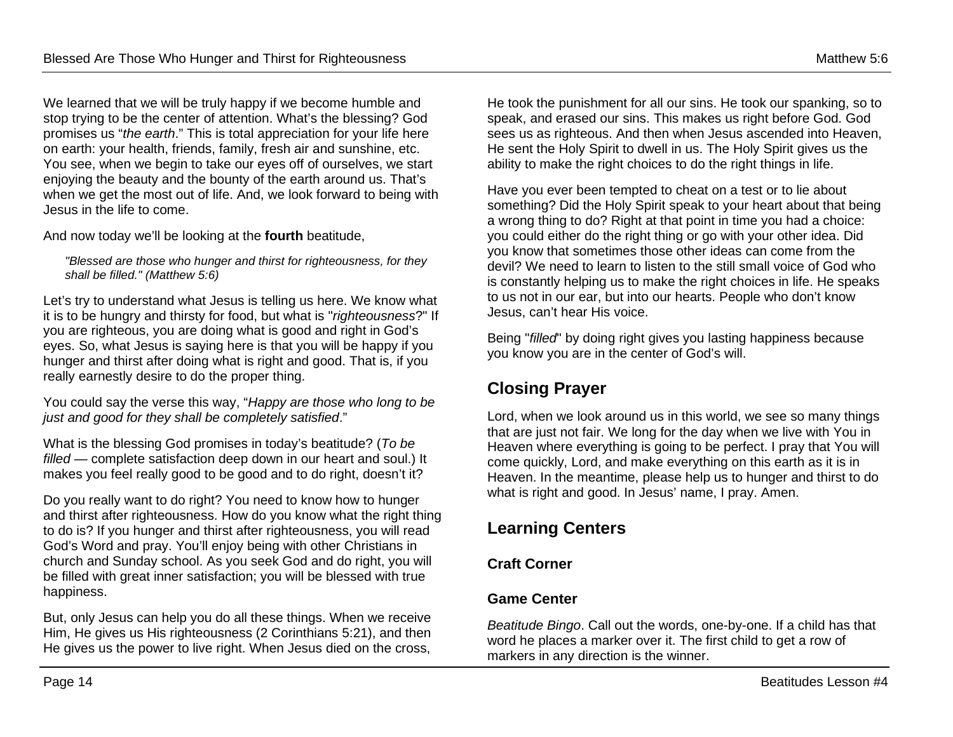We learned that we will be truly happy if we become humble and stop trying to be the center of attention. What's the blessing? God promises us "*the earth*." This is total appreciation for your life here on earth: your health, friends, family, fresh air and sunshine, etc. You see, when we begin to take our eyes off of ourselves, we start enjoying the beauty and the bounty of the earth around us. That's when we get the most out of life. And, we look forward to being with Jesus in the life to come.

And now today we'll be looking at the **fourth** beatitude,

*"Blessed are those who hunger and thirst for righteousness, for they shall be filled." (Matthew 5:6)*

Let's try to understand what Jesus is telling us here. We know what it is to be hungry and thirsty for food, but what is "*righteousness*?" If you are righteous, you are doing what is good and right in God's eyes. So, what Jesus is saying here is that you will be happy if you hunger and thirst after doing what is right and good. That is, if you really earnestly desire to do the proper thing.

You could say the verse this way, "*Happy are those who long to be just and good for they shall be completely satisfied*."

What is the blessing God promises in today's beatitude? (*To be filled* — complete satisfaction deep down in our heart and soul.) It makes you feel really good to be good and to do right, doesn't it?

Do you really want to do right? You need to know how to hunger and thirst after righteousness. How do you know what the right thing to do is? If you hunger and thirst after righteousness, you will read God's Word and pray. You'll enjoy being with other Christians in church and Sunday school. As you seek God and do right, you will be filled with great inner satisfaction; you will be blessed with true happiness.

But, only Jesus can help you do all these things. When we receive Him, He gives us His righteousness (2 Corinthians 5:21), and then He gives us the power to live right. When Jesus died on the cross,

He took the punishment for all our sins. He took our spanking, so to speak, and erased our sins. This makes us right before God. God sees us as righteous. And then when Jesus ascended into Heaven, He sent the Holy Spirit to dwell in us. The Holy Spirit gives us the ability to make the right choices to do the right things in life.

Have you ever been tempted to cheat on a test or to lie about something? Did the Holy Spirit speak to your heart about that being a wrong thing to do? Right at that point in time you had a choice: you could either do the right thing or go with your other idea. Did you know that sometimes those other ideas can come from the devil? We need to learn to listen to the still small voice of God who is constantly helping us to make the right choices in life. He speaks to us not in our ear, but into our hearts. People who don't know Jesus, can't hear His voice.

Being "*filled*" by doing right gives you lasting happiness because you know you are in the center of God's will.

## **Closing Prayer**

Lord, when we look around us in this world, we see so many things that are just not fair. We long for the day when we live with You in Heaven where everything is going to be perfect. I pray that You will come quickly, Lord, and make everything on this earth as it is in Heaven. In the meantime, please help us to hunger and thirst to do what is right and good. In Jesus' name, I pray. Amen.

## **Learning Centers**

#### **Craft Corner**

#### **Game Center**

*Beatitude Bingo*. Call out the words, one-by-one. If a child has that word he places a marker over it. The first child to get a row of markers in any direction is the winner.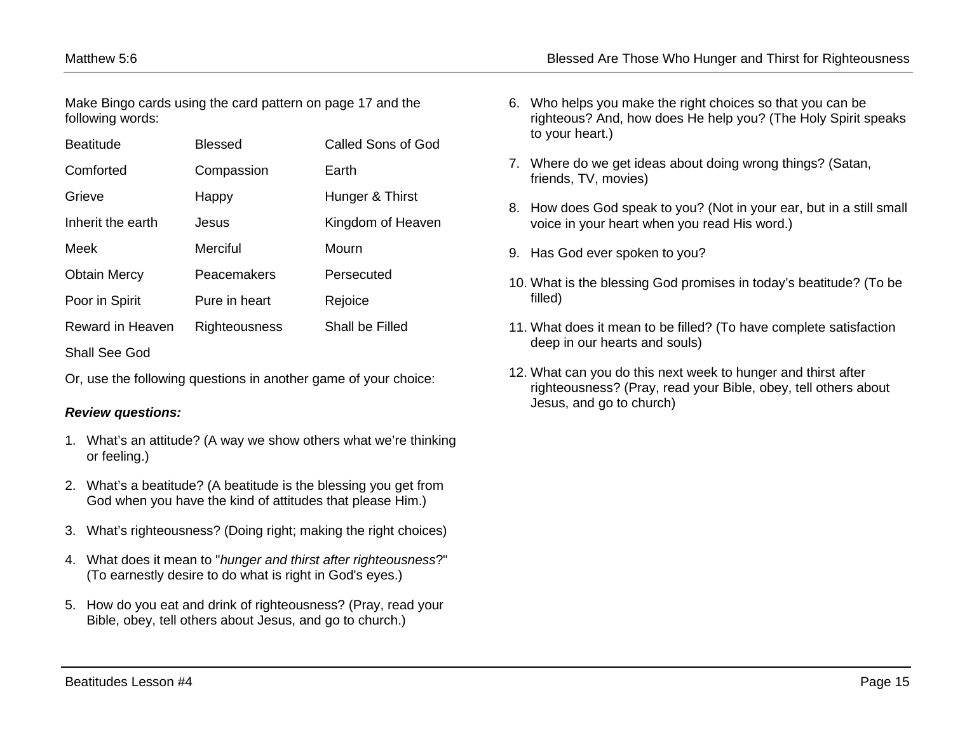Make Bingo cards using the card pattern on page 17 and the following words:

| <b>Beatitude</b>    | <b>Blessed</b> | <b>Called Sons of God</b> |
|---------------------|----------------|---------------------------|
| Comforted           | Compassion     | Earth                     |
| Grieve              | Happy          | Hunger & Thirst           |
| Inherit the earth   | Jesus          | Kingdom of Heaven         |
| Meek                | Merciful       | Mourn                     |
| <b>Obtain Mercy</b> | Peacemakers    | Persecuted                |
| Poor in Spirit      | Pure in heart  | Rejoice                   |
| Reward in Heaven    | Righteousness  | Shall be Filled           |
| Shall See God       |                |                           |

Or, use the following questions in another game of your choice:

#### *Review questions:*

- 1. What's an attitude? (A way we show others what we're thinking or feeling.)
- 2. What's a beatitude? (A beatitude is the blessing you get from God when you have the kind of attitudes that please Him.)
- 3. What's righteousness? (Doing right; making the right choices)
- 4. What does it mean to "*hunger and thirst after righteousness*?" (To earnestly desire to do what is right in God's eyes.)
- 5. How do you eat and drink of righteousness? (Pray, read your Bible, obey, tell others about Jesus, and go to church.)
- 6. Who helps you make the right choices so that you can be righteous? And, how does He help you? (The Holy Spirit speaks to your heart.)
- 7. Where do we get ideas about doing wrong things? (Satan, friends, TV, movies)
- 8. How does God speak to you? (Not in your ear, but in a still small voice in your heart when you read His word.)
- 9. Has God ever spoken to you?
- 10. What is the blessing God promises in today's beatitude? (To be filled)
- 11. What does it mean to be filled? (To have complete satisfaction deep in our hearts and souls)
- 12. What can you do this next week to hunger and thirst after righteousness? (Pray, read your Bible, obey, tell others about Jesus, and go to church)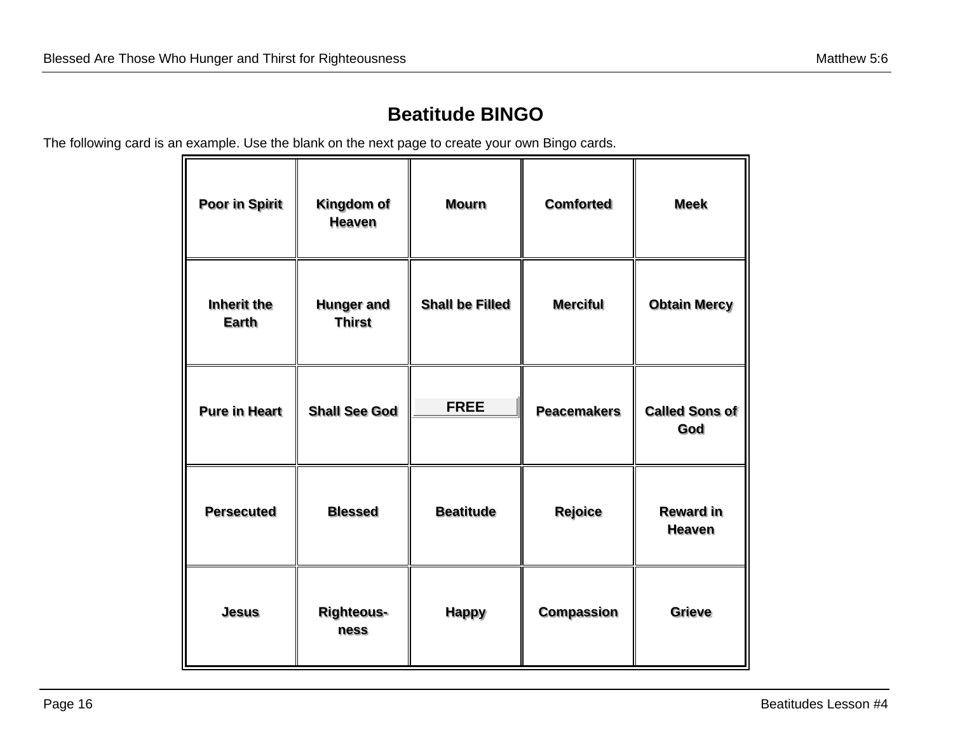# **Beatitude BINGO**

The following card is an example. Use the blank on the next page to create your own Bingo cards.

| Poor in Spirit              | Kingdom of<br><b>Heaven</b>        | <b>Mourn</b>           | <b>Comforted</b>   | <b>Meek</b>                       |
|-----------------------------|------------------------------------|------------------------|--------------------|-----------------------------------|
| Inherit the<br><b>Earth</b> | <b>Hunger and</b><br><b>Thirst</b> | <b>Shall be Filled</b> | <b>Merciful</b>    | <b>Obtain Mercy</b>               |
| <b>Pure in Heart</b>        | <b>Shall See God</b>               | <b>FREE</b>            | <b>Peacemakers</b> | <b>Called Sons of</b><br>God      |
| <b>Persecuted</b>           | <b>Blessed</b>                     | <b>Beatitude</b>       | Rejoice            | <b>Reward in</b><br><b>Heaven</b> |
| <b>Jesus</b>                | <b>Righteous-</b><br>ness          | <b>Happy</b>           | <b>Compassion</b>  | <b>Grieve</b>                     |